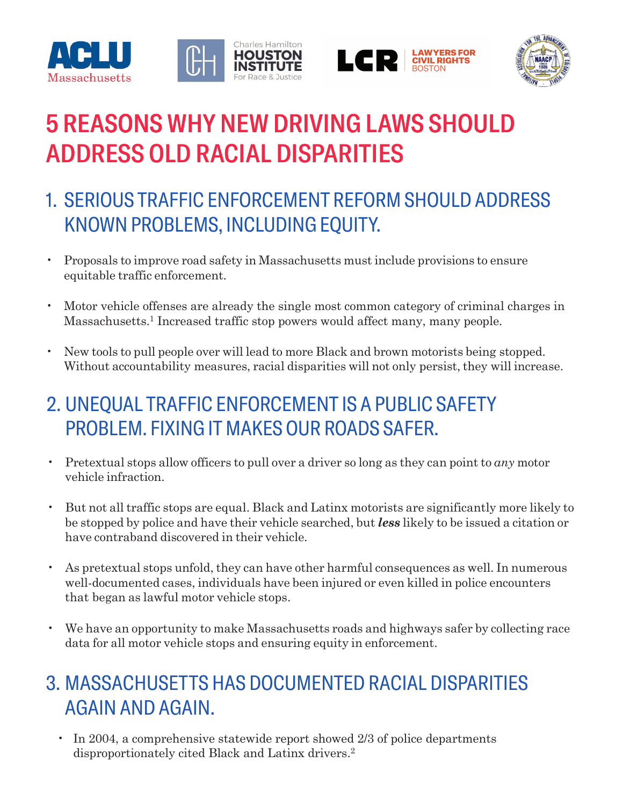





# **5 REASONS WHY NEW DRIVING LAWS SHOULD** ADDRESS OLD RACIAL DISPARITIES

- 1. SERIOUS TRAFFIC ENFORCEMENT REFORM SHOULD ADDRESS KNOWN PROBLEMS, INCLUDING EQUITY.
- Proposals to improve road safety in Massachusetts must include provisions to ensure equitable traffic enforcement.
- Motor vehicle offenses are already the single most common category of criminal charges in Massachusetts.<sup>1</sup> Increased traffic stop powers would affect many, many people.
- New tools to pull people over will lead to more Black and brown motorists being stopped. Without accountability measures, racial disparities will not only persist, they will increase.

## 2. UNEQUAL TRAFFIC ENFORCEMENT IS A PUBLIC SAFETY PROBLEM. FIXING IT MAKES OUR ROADS SAFER.

- Pretextual stops allow officers to pull over a driver so long as they can point to *any* motor vehicle infraction.
- But not all traffic stops are equal. Black and Latinx motorists are significantly more likely to be stopped by police and have their vehicle searched, but *less* likely to be issued a citation or have contraband discovered in their vehicle.
- As pretextual stops unfold, they can have other harmful consequences as well. In numerous well-documented cases, individuals have been injured or even killed in police encounters that began as lawful motor vehicle stops.
- We have an opportunity to make Massachusetts roads and highways safer by collecting race data for all motor vehicle stops and ensuring equity in enforcement.

#### 3. MASSACHUSETTS HAS DOCUMENTED RACIAL DISPARITIES AGAIN AND AGAIN.

• In 2004, a comprehensive statewide report showed 2/3 of police departments disproportionately cited Black and Latinx drivers.2